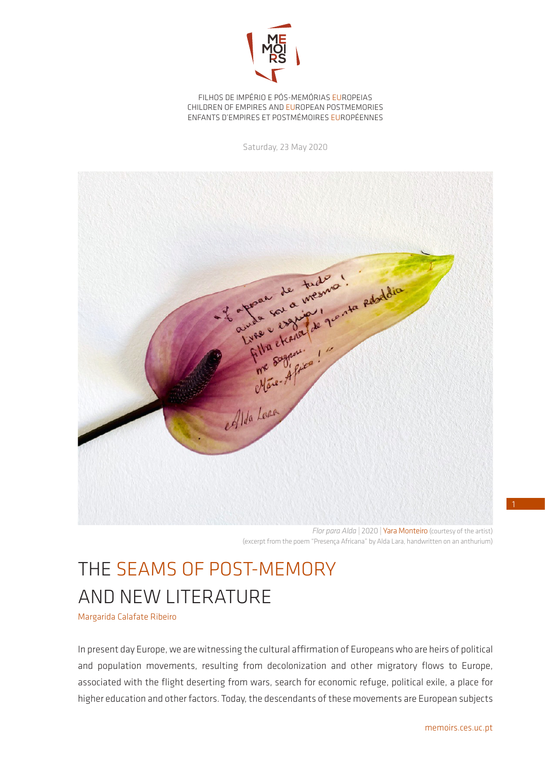

FILHOS DE IMPÉRIO E PÓS-MEMÓRIAS EUROPEIAS CHILDREN OF EMPIRES AND EUROPEAN POSTMEMORIES ENFANTS D'EMPIRES ET POSTMÉMOIRES EUROPÉENNES

Saturday, 23 May 2020



*Flor para Alda* | 2020 | Yara Monteiro (courtesy of the artist) (excerpt from the poem "Presença Africana" by Alda Lara, handwritten on an anthurium)

## THE SEAMS OF POST-MEMORY AND NEW LITERATURE

Margarida Calafate Ribeiro

In present day Europe, we are witnessing the cultural affirmation of Europeans who are heirs of political and population movements, resulting from decolonization and other migratory flows to Europe, associated with the flight deserting from wars, search for economic refuge, political exile, a place for higher education and other factors. Today, the descendants of these movements are European subjects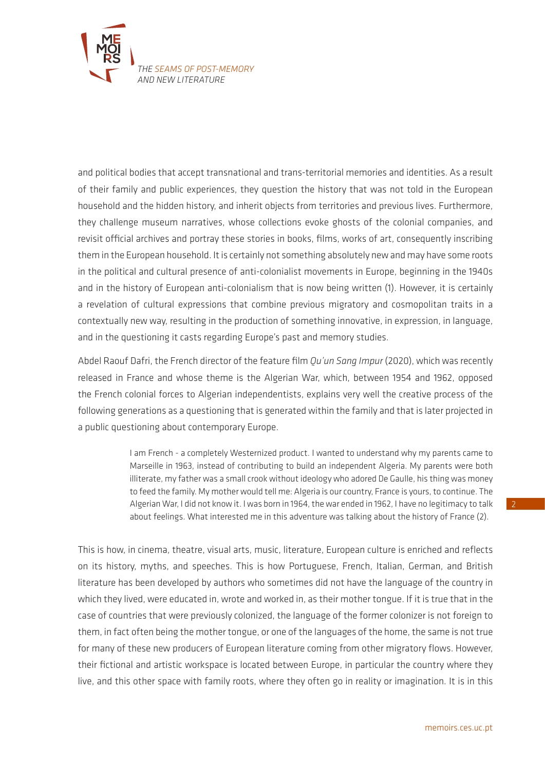

and political bodies that accept transnational and trans-territorial memories and identities. As a result of their family and public experiences, they question the history that was not told in the European household and the hidden history, and inherit objects from territories and previous lives. Furthermore, they challenge museum narratives, whose collections evoke ghosts of the colonial companies, and revisit official archives and portray these stories in books, films, works of art, consequently inscribing them in the European household. It is certainly not something absolutely new and may have some roots in the political and cultural presence of anti-colonialist movements in Europe, beginning in the 1940s and in the history of European anti-colonialism that is now being written (1). However, it is certainly a revelation of cultural expressions that combine previous migratory and cosmopolitan traits in a contextually new way, resulting in the production of something innovative, in expression, in language, and in the questioning it casts regarding Europe's past and memory studies.

Abdel Raouf Dafri, the French director of the feature film *Qu'un Sang Impur* (2020), which was recently released in France and whose theme is the Algerian War, which, between 1954 and 1962, opposed the French colonial forces to Algerian independentists, explains very well the creative process of the following generations as a questioning that is generated within the family and that is later projected in a public questioning about contemporary Europe.

> I am French - a completely Westernized product. I wanted to understand why my parents came to Marseille in 1963, instead of contributing to build an independent Algeria. My parents were both illiterate, my father was a small crook without ideology who adored De Gaulle, his thing was money to feed the family. My mother would tell me: Algeria is our country, France is yours, to continue. The Algerian War, I did not know it. I was born in 1964, the war ended in 1962, I have no legitimacy to talk about feelings. What interested me in this adventure was talking about the history of France (2).

This is how, in cinema, theatre, visual arts, music, literature, European culture is enriched and reflects on its history, myths, and speeches. This is how Portuguese, French, Italian, German, and British literature has been developed by authors who sometimes did not have the language of the country in which they lived, were educated in, wrote and worked in, as their mother tongue. If it is true that in the case of countries that were previously colonized, the language of the former colonizer is not foreign to them, in fact often being the mother tongue, or one of the languages of the home, the same is not true for many of these new producers of European literature coming from other migratory flows. However, their fictional and artistic workspace is located between Europe, in particular the country where they live, and this other space with family roots, where they often go in reality or imagination. It is in this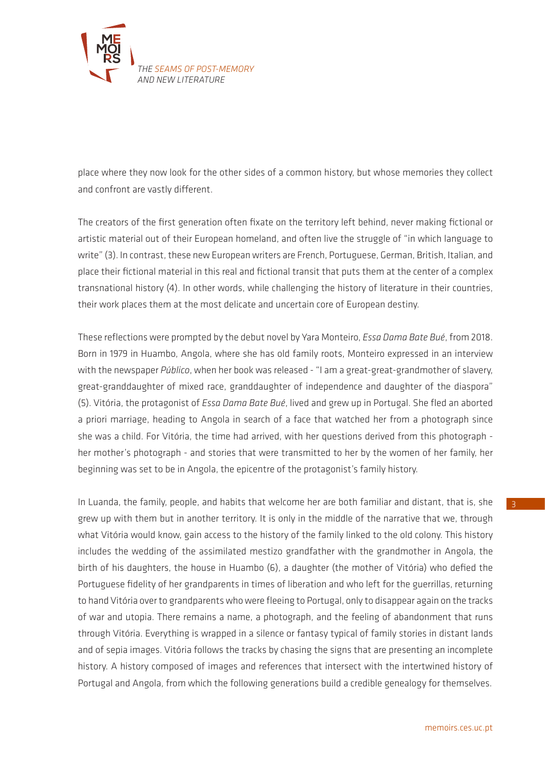

place where they now look for the other sides of a common history, but whose memories they collect and confront are vastly different.

The creators of the first generation often fixate on the territory left behind, never making fictional or artistic material out of their European homeland, and often live the struggle of "in which language to write" (3). In contrast, these new European writers are French, Portuguese, German, British, Italian, and place their fictional material in this real and fictional transit that puts them at the center of a complex transnational history (4). In other words, while challenging the history of literature in their countries, their work places them at the most delicate and uncertain core of European destiny.

These reflections were prompted by the debut novel by Yara Monteiro, *Essa Dama Bate Bué*, from 2018. Born in 1979 in Huambo, Angola, where she has old family roots, Monteiro expressed in an interview with the newspaper *Público*, when her book was released - "I am a great-great-grandmother of slavery, great-granddaughter of mixed race, granddaughter of independence and daughter of the diaspora" (5). Vitória, the protagonist of *Essa Dama Bate Bué*, lived and grew up in Portugal. She fled an aborted a priori marriage, heading to Angola in search of a face that watched her from a photograph since she was a child. For Vitória, the time had arrived, with her questions derived from this photograph her mother's photograph - and stories that were transmitted to her by the women of her family, her beginning was set to be in Angola, the epicentre of the protagonist's family history.

In Luanda, the family, people, and habits that welcome her are both familiar and distant, that is, she grew up with them but in another territory. It is only in the middle of the narrative that we, through what Vitória would know, gain access to the history of the family linked to the old colony. This history includes the wedding of the assimilated mestizo grandfather with the grandmother in Angola, the birth of his daughters, the house in Huambo (6), a daughter (the mother of Vitória) who defied the Portuguese fidelity of her grandparents in times of liberation and who left for the guerrillas, returning to hand Vitória over to grandparents who were fleeing to Portugal, only to disappear again on the tracks of war and utopia. There remains a name, a photograph, and the feeling of abandonment that runs through Vitória. Everything is wrapped in a silence or fantasy typical of family stories in distant lands and of sepia images. Vitória follows the tracks by chasing the signs that are presenting an incomplete history. A history composed of images and references that intersect with the intertwined history of Portugal and Angola, from which the following generations build a credible genealogy for themselves.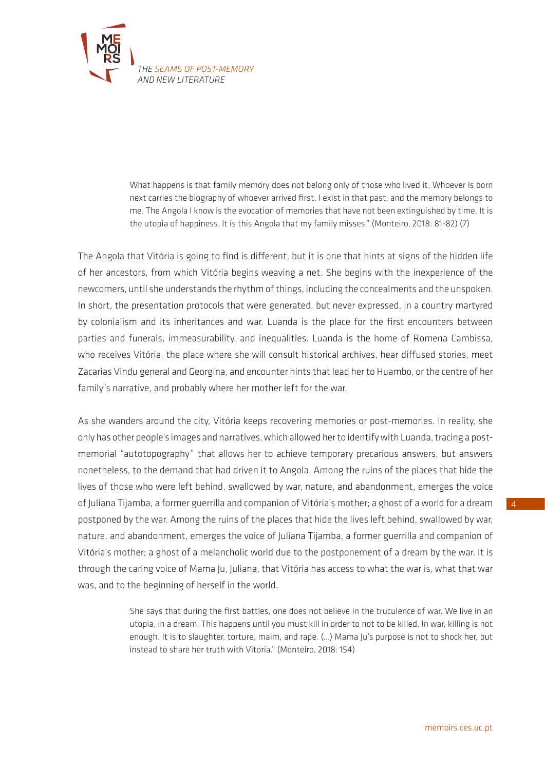

What happens is that family memory does not belong only of those who lived it. Whoever is born next carries the biography of whoever arrived first. I exist in that past, and the memory belongs to me. The Angola I know is the evocation of memories that have not been extinguished by time. It is the utopia of happiness. It is this Angola that my family misses." (Monteiro, 2018: 81-82) (7)

The Angola that Vitória is going to find is different, but it is one that hints at signs of the hidden life of her ancestors, from which Vitória begins weaving a net. She begins with the inexperience of the newcomers, until she understands the rhythm of things, including the concealments and the unspoken. In short, the presentation protocols that were generated, but never expressed, in a country martyred by colonialism and its inheritances and war. Luanda is the place for the first encounters between parties and funerals, immeasurability, and inequalities. Luanda is the home of Romena Cambissa, who receives Vitória, the place where she will consult historical archives, hear diffused stories, meet Zacarias Vindu general and Georgina, and encounter hints that lead her to Huambo, or the centre of her family's narrative, and probably where her mother left for the war.

As she wanders around the city, Vitória keeps recovering memories or post-memories. In reality, she only has other people's images and narratives, which allowed her to identify with Luanda, tracing a postmemorial "autotopography" that allows her to achieve temporary precarious answers, but answers nonetheless, to the demand that had driven it to Angola. Among the ruins of the places that hide the lives of those who were left behind, swallowed by war, nature, and abandonment, emerges the voice of Juliana Tijamba, a former guerrilla and companion of Vitória's mother; a ghost of a world for a dream postponed by the war. Among the ruins of the places that hide the lives left behind, swallowed by war, nature, and abandonment, emerges the voice of Juliana Tijamba, a former guerrilla and companion of Vitória's mother; a ghost of a melancholic world due to the postponement of a dream by the war. It is through the caring voice of Mama Ju, Juliana, that Vitória has access to what the war is, what that war was, and to the beginning of herself in the world.

> She says that during the first battles, one does not believe in the truculence of war. We live in an utopia, in a dream. This happens until you must kill in order to not to be killed. In war, killing is not enough. It is to slaughter, torture, maim, and rape. (…) Mama Ju's purpose is not to shock her, but instead to share her truth with Vitoria." (Monteiro, 2018: 154)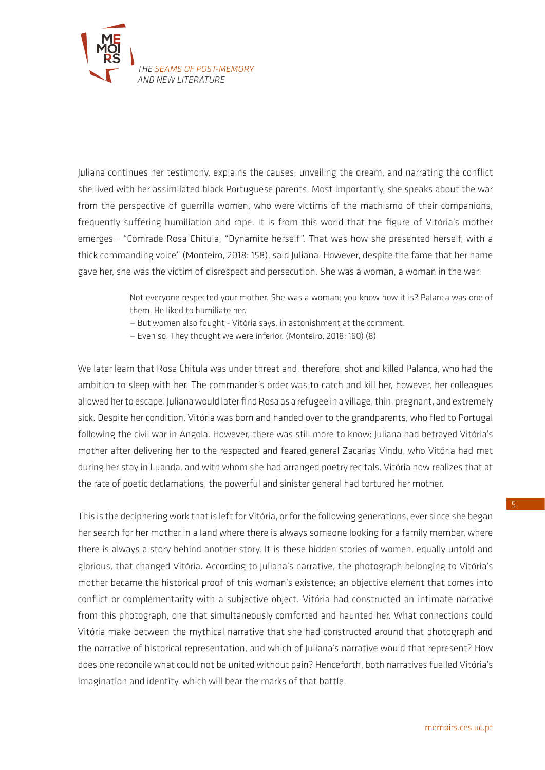

Juliana continues her testimony, explains the causes, unveiling the dream, and narrating the conflict she lived with her assimilated black Portuguese parents. Most importantly, she speaks about the war from the perspective of guerrilla women, who were victims of the machismo of their companions, frequently suffering humiliation and rape. It is from this world that the figure of Vitória's mother emerges - "Comrade Rosa Chitula, "Dynamite herself". That was how she presented herself, with a thick commanding voice" (Monteiro, 2018: 158), said Juliana. However, despite the fame that her name gave her, she was the victim of disrespect and persecution. She was a woman, a woman in the war:

> Not everyone respected your mother. She was a woman; you know how it is? Palanca was one of them. He liked to humiliate her.

— But women also fought - Vitória says, in astonishment at the comment.

— Even so. They thought we were inferior. (Monteiro, 2018: 160) (8)

We later learn that Rosa Chitula was under threat and, therefore, shot and killed Palanca, who had the ambition to sleep with her. The commander's order was to catch and kill her, however, her colleagues allowed her to escape. Juliana would later find Rosa as a refugee in a village, thin, pregnant, and extremely sick. Despite her condition, Vitória was born and handed over to the grandparents, who fled to Portugal following the civil war in Angola. However, there was still more to know: Juliana had betrayed Vitória's mother after delivering her to the respected and feared general Zacarias Vindu, who Vitória had met during her stay in Luanda, and with whom she had arranged poetry recitals. Vitória now realizes that at the rate of poetic declamations, the powerful and sinister general had tortured her mother.

This is the deciphering work that is left for Vitória, or for the following generations, ever since she began her search for her mother in a land where there is always someone looking for a family member, where there is always a story behind another story. It is these hidden stories of women, equally untold and glorious, that changed Vitória. According to Juliana's narrative, the photograph belonging to Vitória's mother became the historical proof of this woman's existence; an objective element that comes into conflict or complementarity with a subjective object. Vitória had constructed an intimate narrative from this photograph, one that simultaneously comforted and haunted her. What connections could Vitória make between the mythical narrative that she had constructed around that photograph and the narrative of historical representation, and which of Juliana's narrative would that represent? How does one reconcile what could not be united without pain? Henceforth, both narratives fuelled Vitória's imagination and identity, which will bear the marks of that battle.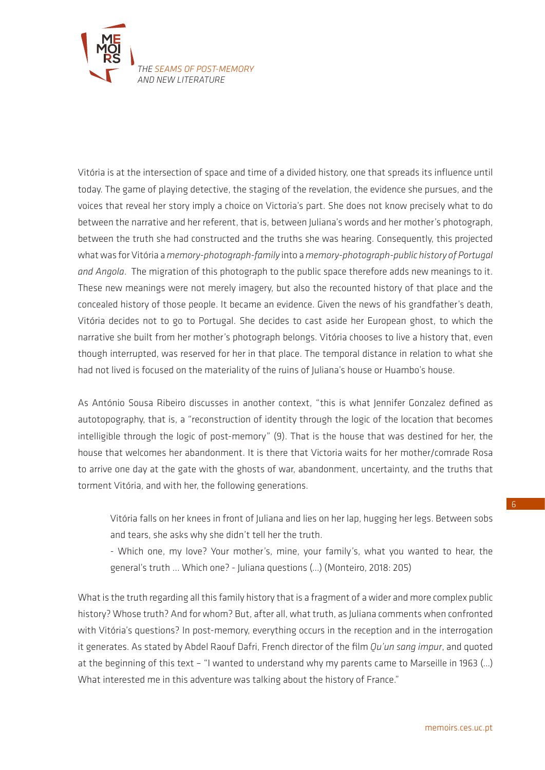

Vitória is at the intersection of space and time of a divided history, one that spreads its influence until today. The game of playing detective, the staging of the revelation, the evidence she pursues, and the voices that reveal her story imply a choice on Victoria's part. She does not know precisely what to do between the narrative and her referent, that is, between Juliana's words and her mother's photograph, between the truth she had constructed and the truths she was hearing. Consequently, this projected what was for Vitória a *memory-photograph-family* into a *memory-photograph-public history of Portugal and Angola*. The migration of this photograph to the public space therefore adds new meanings to it. These new meanings were not merely imagery, but also the recounted history of that place and the concealed history of those people. It became an evidence. Given the news of his grandfather's death, Vitória decides not to go to Portugal. She decides to cast aside her European ghost, to which the narrative she built from her mother's photograph belongs. Vitória chooses to live a history that, even though interrupted, was reserved for her in that place. The temporal distance in relation to what she had not lived is focused on the materiality of the ruins of Juliana's house or Huambo's house.

As António Sousa Ribeiro discusses in another context, "this is what Jennifer Gonzalez defined as autotopography, that is, a "reconstruction of identity through the logic of the location that becomes intelligible through the logic of post-memory" (9). That is the house that was destined for her, the house that welcomes her abandonment. It is there that Victoria waits for her mother/comrade Rosa to arrive one day at the gate with the ghosts of war, abandonment, uncertainty, and the truths that torment Vitória, and with her, the following generations.

Vitória falls on her knees in front of Juliana and lies on her lap, hugging her legs. Between sobs and tears, she asks why she didn't tell her the truth.

- Which one, my love? Your mother's, mine, your family's, what you wanted to hear, the general's truth ... Which one? - Juliana questions (…) (Monteiro, 2018: 205)

What is the truth regarding all this family history that is a fragment of a wider and more complex public history? Whose truth? And for whom? But, after all, what truth, as Juliana comments when confronted with Vitória's questions? In post-memory, everything occurs in the reception and in the interrogation it generates. As stated by Abdel Raouf Dafri, French director of the film *Qu'un sang impur*, and quoted at the beginning of this text – "I wanted to understand why my parents came to Marseille in 1963 (…) What interested me in this adventure was talking about the history of France."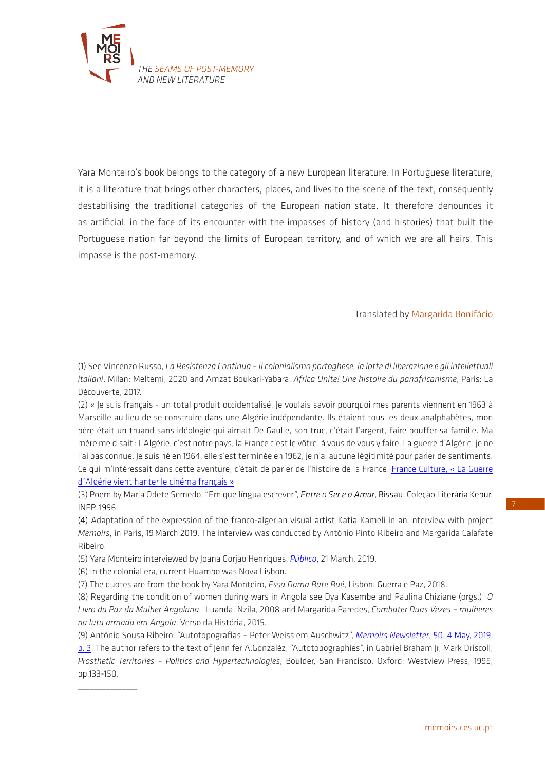

Yara Monteiro's book belongs to the category of a new European literature. In Portuguese literature, it is a literature that brings other characters, places, and lives to the scene of the text, consequently destabilising the traditional categories of the European nation-state. It therefore denounces it as artificial, in the face of its encounter with the impasses of history (and histories) that built the Portuguese nation far beyond the limits of European territory, and of which we are all heirs. This impasse is the post-memory.

## Translated by Margarida Bonifácio

 $\overline{\phantom{a}}$  , where  $\overline{\phantom{a}}$ 

 $\overline{\phantom{a}}$  , where  $\overline{\phantom{a}}$ 

<sup>(1)</sup> See Vincenzo Russo, *La Resistenza Continua – il colonialismo portoghese, la lotte di liberazione e gli intellettuali italiani*, Milan: Meltemi, 2020 and Amzat Boukari-Yabara, *Africa Unite! Une histoire du panafricanisme*, Paris: La Découverte, 2017.

<sup>(2) «</sup> Je suis français - un total produit occidentalisé. Je voulais savoir pourquoi mes parents viennent en 1963 à Marseille au lieu de se construire dans une Algérie indépendante. Ils étaient tous les deux analphabètes, mon père était un truand sans idéologie qui aimait De Gaulle, son truc, c'était l'argent, faire bouffer sa famille. Ma mère me disait : L'Algérie, c'est notre pays, la France c'est le vôtre, à vous de vous y faire. La guerre d'Algérie, je ne l'ai pas connue. Je suis né en 1964, elle s'est terminée en 1962, je n'ai aucune légitimité pour parler de sentiments. Ce qui m'intéressait dans cette aventure, c'était de parler de l'histoire de la France. [France Culture, « La Guerre](https://www.franceculture.fr/emissions/le-reveil-culturel/abdel-raouf-dafri-peu-de-realisateurs-se-sont-atteles-a-la-guerre-dalgerie)  [d´Algérie vient hanter le cinéma français »](https://www.franceculture.fr/emissions/le-reveil-culturel/abdel-raouf-dafri-peu-de-realisateurs-se-sont-atteles-a-la-guerre-dalgerie)

<sup>(3)</sup> Poem by Maria Odete Semedo, "Em que língua escrever", *Entre o Ser e o Amar*, Bissau: Coleção Literária Kebur, INEP, 1996.

<sup>(4)</sup> Adaptation of the expression of the franco-algerian visual artist Katia Kameli in an interview with project *Memoirs*, in Paris, 19March 2019. The interview was conducted by António Pinto Ribeiro and Margarida Calafate Ribeiro.

<sup>(5)</sup> Yara Monteiro interviewed by Joana Gorjão Henriques, *[Público](https://www.publico.pt/2019/03/21/culturaipsilon/noticia/trineta-escravatura-bisneta-mesticagem-neta-independencia-filha-diaspora-1865819)*, 21 March, 2019.

<sup>(6)</sup> In the colonial era, current Huambo was Nova Lisbon.

<sup>(7)</sup> The quotes are from the book by Yara Monteiro, *Essa Dama Bate Bué*, Lisbon: Guerra e Paz, 2018.

<sup>(8)</sup> Regarding the condition of women during wars in Angola see Dya Kasembe and Paulina Chiziane (orgs.) *O Livro da Paz da Mulher Angolana*, Luanda: Nzila, 2008 and Margarida Paredes, *Combater Duas Vezes – mulheres na luta armada em Angola*, Verso da História, 2015.

<sup>(9)</sup> António Sousa Ribeiro, "Autotopografias – Peter Weiss em Auschwitz", *[Memoirs Newsletter](https://memoirs.ces.uc.pt/ficheiros/4_RESULTS_AND_IMPACT/4.3_NEWSLETTER/MEMOIRS_newsletter_50_ASR_pt.pdf)*, 50, 4 May, 2019, [p. 3.](https://memoirs.ces.uc.pt/ficheiros/4_RESULTS_AND_IMPACT/4.3_NEWSLETTER/MEMOIRS_newsletter_50_ASR_pt.pdf) The author refers to the text of Jennifer A.Gonzaléz, "Autotopographies", in Gabriel Braham Jr, Mark Driscoll, *Prosthetic Territories – Politics and Hypertechnologies*, Boulder, San Francisco, Oxford: Westview Press, 1995, pp.133-150.